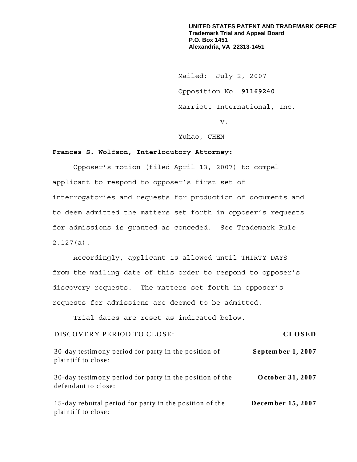**UNITED STATES PATENT AND TRADEMARK OFFICE Trademark Trial and Appeal Board P.O. Box 1451 Alexandria, VA 22313-1451**

 Mailed: July 2, 2007 Opposition No. **91169240**  Marriott International, Inc.

v.

Yuhao, CHEN

## **Frances S. Wolfson, Interlocutory Attorney:**

 Opposer's motion (filed April 13, 2007) to compel applicant to respond to opposer's first set of interrogatories and requests for production of documents and to deem admitted the matters set forth in opposer's requests for admissions is granted as conceded. See Trademark Rule 2.127(a).

Accordingly, applicant is allowed until THIRTY DAYS from the mailing date of this order to respond to opposer's discovery requests. The matters set forth in opposer's requests for admissions are deemed to be admitted.

Trial dates are reset as indicated below.

## DISCOVERY PERIOD TO CLOSE: **CLOSED**

**September 1, 2007** 30-day testimony period for party in the position of plaintiff to close:

**October 31, 2007** 30-day testimony period for party in the position of the defendant to close:

**December 15, 2007** 15-day rebuttal period for party in the position of the plaintiff to close: